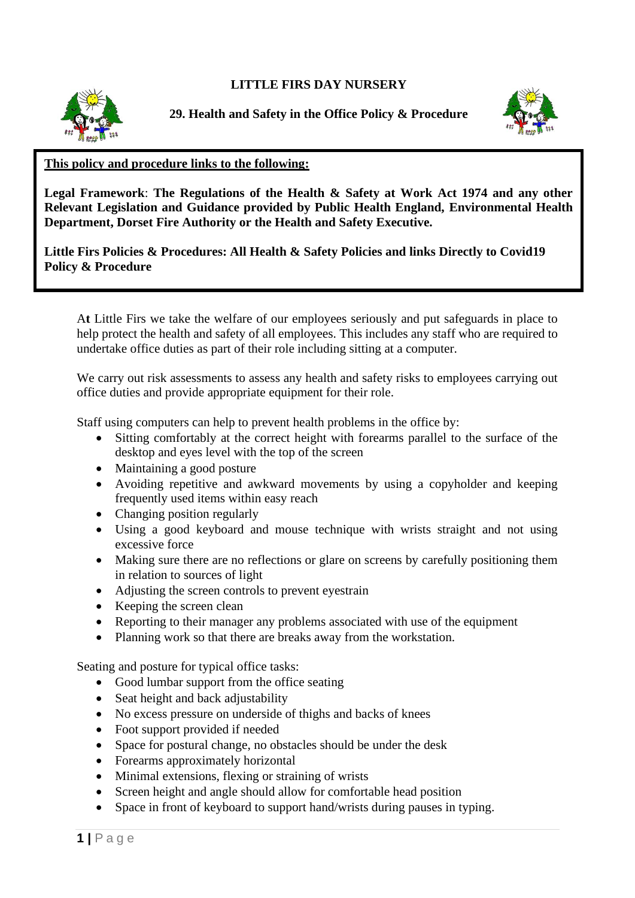## **LITTLE FIRS DAY NURSERY**



**29. Health and Safety in the Office Policy & Procedure**



## **This policy and procedure links to the following:**

**Legal Framework**: **The Regulations of the Health & Safety at Work Act 1974 and any other Relevant Legislation and Guidance provided by Public Health England, Environmental Health Department, Dorset Fire Authority or the Health and Safety Executive.**

**Little Firs Policies & Procedures: All Health & Safety Policies and links Directly to Covid19 Policy & Procedure**

A**t** Little Firs we take the welfare of our employees seriously and put safeguards in place to help protect the health and safety of all employees. This includes any staff who are required to undertake office duties as part of their role including sitting at a computer.

We carry out risk assessments to assess any health and safety risks to employees carrying out office duties and provide appropriate equipment for their role.

Staff using computers can help to prevent health problems in the office by:

- Sitting comfortably at the correct height with forearms parallel to the surface of the desktop and eyes level with the top of the screen
- Maintaining a good posture
- Avoiding repetitive and awkward movements by using a copyholder and keeping frequently used items within easy reach
- Changing position regularly
- Using a good keyboard and mouse technique with wrists straight and not using excessive force
- Making sure there are no reflections or glare on screens by carefully positioning them in relation to sources of light
- Adjusting the screen controls to prevent eyestrain
- Keeping the screen clean
- Reporting to their manager any problems associated with use of the equipment
- Planning work so that there are breaks away from the workstation.

Seating and posture for typical office tasks:

- Good lumbar support from the office seating
- Seat height and back adjustability
- No excess pressure on underside of thighs and backs of knees
- Foot support provided if needed
- Space for postural change, no obstacles should be under the desk
- Forearms approximately horizontal
- Minimal extensions, flexing or straining of wrists
- Screen height and angle should allow for comfortable head position
- Space in front of keyboard to support hand/wrists during pauses in typing.